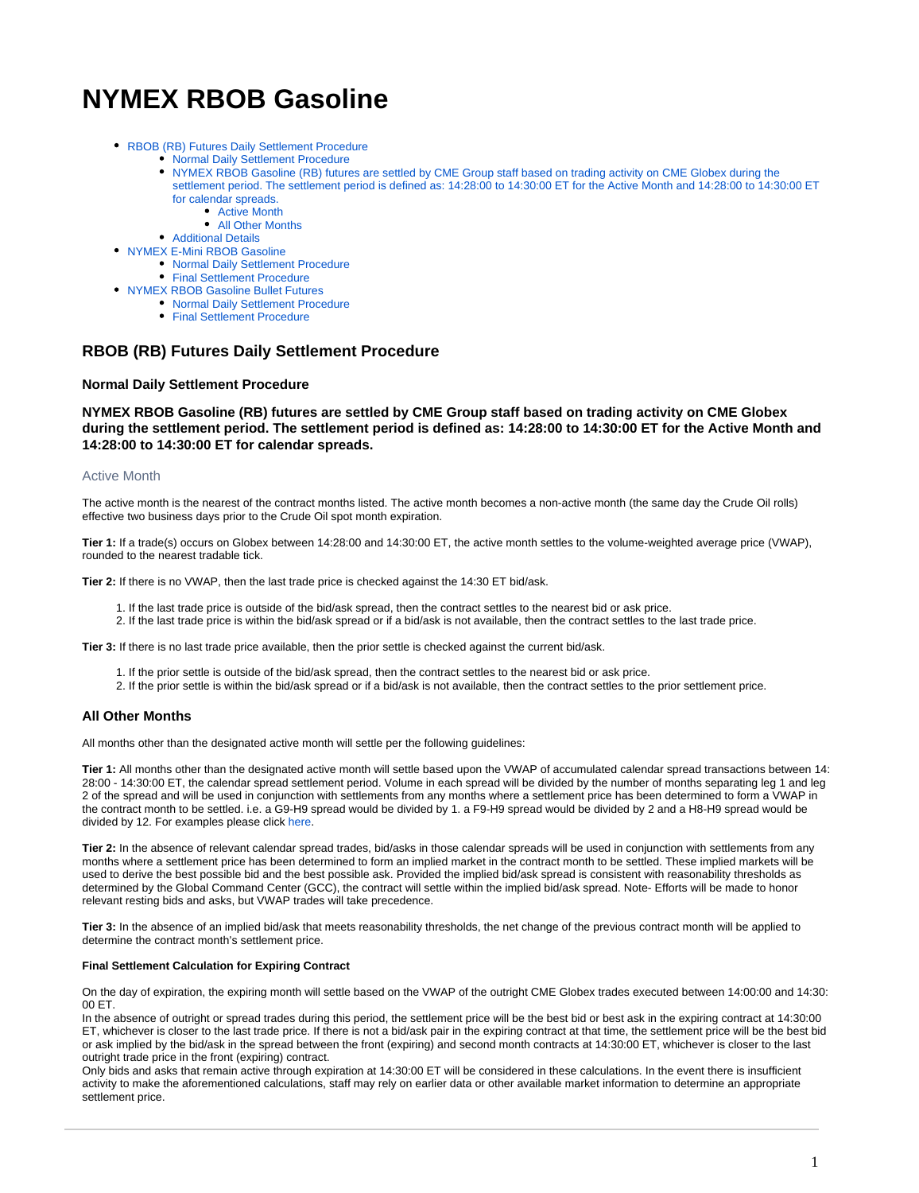# **NYMEX RBOB Gasoline**

- [RBOB \(RB\) Futures Daily Settlement Procedure](#page-0-0)
	- [Normal Daily Settlement Procedure](#page-0-1)
	- [NYMEX RBOB Gasoline \(RB\) futures are settled by CME Group staff based on trading activity on CME Globex during the](#page-0-2)  [settlement period. The settlement period is defined as: 14:28:00 to 14:30:00 ET for the Active Month and 14:28:00 to 14:30:00 ET](#page-0-2)  [for calendar spreads.](#page-0-2)
		- [Active Month](#page-0-3)
		- [All Other Months](#page-0-4)
	- [Additional Details](#page-0-5)
- [NYMEX E-Mini RBOB Gasoline](#page-1-0)
	- [Normal Daily Settlement Procedure](#page-1-1)
	- [Final Settlement Procedure](#page-1-2)
- [NYMEX RBOB Gasoline Bullet Futures](#page-1-3)
	- [Normal Daily Settlement Procedure](#page-1-4)
	- [Final Settlement Procedure](#page-1-5)

## <span id="page-0-0"></span>**RBOB (RB) Futures Daily Settlement Procedure**

#### <span id="page-0-1"></span>**Normal Daily Settlement Procedure**

<span id="page-0-2"></span>**NYMEX RBOB Gasoline (RB) futures are settled by CME Group staff based on trading activity on CME Globex during the settlement period. The settlement period is defined as: 14:28:00 to 14:30:00 ET for the Active Month and 14:28:00 to 14:30:00 ET for calendar spreads.**

### <span id="page-0-3"></span>Active Month

The active month is the nearest of the contract months listed. The active month becomes a non-active month (the same day the Crude Oil rolls) effective two business days prior to the Crude Oil spot month expiration.

**Tier 1:** If a trade(s) occurs on Globex between 14:28:00 and 14:30:00 ET, the active month settles to the volume-weighted average price (VWAP), rounded to the nearest tradable tick.

**Tier 2:** If there is no VWAP, then the last trade price is checked against the 14:30 ET bid/ask.

- 1. If the last trade price is outside of the bid/ask spread, then the contract settles to the nearest bid or ask price.
- 2. If the last trade price is within the bid/ask spread or if a bid/ask is not available, then the contract settles to the last trade price.

**Tier 3:** If there is no last trade price available, then the prior settle is checked against the current bid/ask.

- 1. If the prior settle is outside of the bid/ask spread, then the contract settles to the nearest bid or ask price.
- 2. If the prior settle is within the bid/ask spread or if a bid/ask is not available, then the contract settles to the prior settlement price.

#### <span id="page-0-4"></span>**All Other Months**

All months other than the designated active month will settle per the following guidelines:

**Tier 1:** All months other than the designated active month will settle based upon the VWAP of accumulated calendar spread transactions between 14: 28:00 - 14:30:00 ET, the calendar spread settlement period. Volume in each spread will be divided by the number of months separating leg 1 and leg 2 of the spread and will be used in conjunction with settlements from any months where a settlement price has been determined to form a VWAP in the contract month to be settled. i.e. a G9-H9 spread would be divided by 1. a F9-H9 spread would be divided by 2 and a H8-H9 spread would be divided by 12. For examples please click [here](https://wiki.chicago.cme.com/confluence/display/EPICSANDBOX/CL+HO+and+RBOB+Settlement+Examples).

**Tier 2:** In the absence of relevant calendar spread trades, bid/asks in those calendar spreads will be used in conjunction with settlements from any months where a settlement price has been determined to form an implied market in the contract month to be settled. These implied markets will be used to derive the best possible bid and the best possible ask. Provided the implied bid/ask spread is consistent with reasonability thresholds as determined by the Global Command Center (GCC), the contract will settle within the implied bid/ask spread. Note- Efforts will be made to honor relevant resting bids and asks, but VWAP trades will take precedence.

**Tier 3:** In the absence of an implied bid/ask that meets reasonability thresholds, the net change of the previous contract month will be applied to determine the contract month's settlement price.

#### **Final Settlement Calculation for Expiring Contract**

On the day of expiration, the expiring month will settle based on the VWAP of the outright CME Globex trades executed between 14:00:00 and 14:30: 00 ET.

In the absence of outright or spread trades during this period, the settlement price will be the best bid or best ask in the expiring contract at 14:30:00 ET, whichever is closer to the last trade price. If there is not a bid/ask pair in the expiring contract at that time, the settlement price will be the best bid or ask implied by the bid/ask in the spread between the front (expiring) and second month contracts at 14:30:00 ET, whichever is closer to the last outright trade price in the front (expiring) contract.

<span id="page-0-5"></span>Only bids and asks that remain active through expiration at 14:30:00 ET will be considered in these calculations. In the event there is insufficient activity to make the aforementioned calculations, staff may rely on earlier data or other available market information to determine an appropriate settlement price.